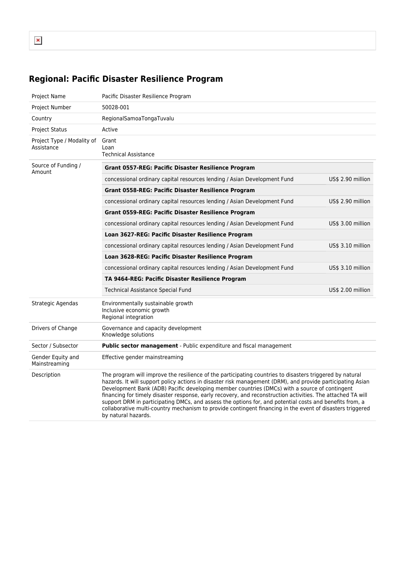# **Regional: Pacific Disaster Resilience Program**

| Project Name                             | Pacific Disaster Resilience Program                                                                                                                                                                                                                                                                                                                                                                                                                                                                                                                                                                                                                                                   |                   |  |  |  |  |
|------------------------------------------|---------------------------------------------------------------------------------------------------------------------------------------------------------------------------------------------------------------------------------------------------------------------------------------------------------------------------------------------------------------------------------------------------------------------------------------------------------------------------------------------------------------------------------------------------------------------------------------------------------------------------------------------------------------------------------------|-------------------|--|--|--|--|
| Project Number                           | 50028-001                                                                                                                                                                                                                                                                                                                                                                                                                                                                                                                                                                                                                                                                             |                   |  |  |  |  |
| Country                                  | RegionalSamoaTongaTuvalu                                                                                                                                                                                                                                                                                                                                                                                                                                                                                                                                                                                                                                                              |                   |  |  |  |  |
| <b>Project Status</b>                    | Active                                                                                                                                                                                                                                                                                                                                                                                                                                                                                                                                                                                                                                                                                |                   |  |  |  |  |
| Project Type / Modality of<br>Assistance | Grant<br>Loan<br><b>Technical Assistance</b>                                                                                                                                                                                                                                                                                                                                                                                                                                                                                                                                                                                                                                          |                   |  |  |  |  |
| Source of Funding /<br>Amount            | <b>Grant 0557-REG: Pacific Disaster Resilience Program</b>                                                                                                                                                                                                                                                                                                                                                                                                                                                                                                                                                                                                                            |                   |  |  |  |  |
|                                          | concessional ordinary capital resources lending / Asian Development Fund                                                                                                                                                                                                                                                                                                                                                                                                                                                                                                                                                                                                              | US\$ 2.90 million |  |  |  |  |
|                                          | Grant 0558-REG: Pacific Disaster Resilience Program                                                                                                                                                                                                                                                                                                                                                                                                                                                                                                                                                                                                                                   |                   |  |  |  |  |
|                                          | concessional ordinary capital resources lending / Asian Development Fund                                                                                                                                                                                                                                                                                                                                                                                                                                                                                                                                                                                                              | US\$ 2.90 million |  |  |  |  |
|                                          | Grant 0559-REG: Pacific Disaster Resilience Program                                                                                                                                                                                                                                                                                                                                                                                                                                                                                                                                                                                                                                   |                   |  |  |  |  |
|                                          | concessional ordinary capital resources lending / Asian Development Fund                                                                                                                                                                                                                                                                                                                                                                                                                                                                                                                                                                                                              | US\$ 3.00 million |  |  |  |  |
|                                          | Loan 3627-REG: Pacific Disaster Resilience Program                                                                                                                                                                                                                                                                                                                                                                                                                                                                                                                                                                                                                                    |                   |  |  |  |  |
|                                          | concessional ordinary capital resources lending / Asian Development Fund                                                                                                                                                                                                                                                                                                                                                                                                                                                                                                                                                                                                              | US\$ 3.10 million |  |  |  |  |
|                                          | Loan 3628-REG: Pacific Disaster Resilience Program                                                                                                                                                                                                                                                                                                                                                                                                                                                                                                                                                                                                                                    |                   |  |  |  |  |
|                                          | concessional ordinary capital resources lending / Asian Development Fund                                                                                                                                                                                                                                                                                                                                                                                                                                                                                                                                                                                                              | US\$ 3.10 million |  |  |  |  |
|                                          | TA 9464-REG: Pacific Disaster Resilience Program                                                                                                                                                                                                                                                                                                                                                                                                                                                                                                                                                                                                                                      |                   |  |  |  |  |
|                                          | <b>Technical Assistance Special Fund</b>                                                                                                                                                                                                                                                                                                                                                                                                                                                                                                                                                                                                                                              | US\$ 2.00 million |  |  |  |  |
| Strategic Agendas                        | Environmentally sustainable growth<br>Inclusive economic growth<br>Regional integration                                                                                                                                                                                                                                                                                                                                                                                                                                                                                                                                                                                               |                   |  |  |  |  |
| Drivers of Change                        | Governance and capacity development<br>Knowledge solutions                                                                                                                                                                                                                                                                                                                                                                                                                                                                                                                                                                                                                            |                   |  |  |  |  |
| Sector / Subsector                       | Public sector management - Public expenditure and fiscal management                                                                                                                                                                                                                                                                                                                                                                                                                                                                                                                                                                                                                   |                   |  |  |  |  |
| Gender Equity and<br>Mainstreaming       | Effective gender mainstreaming                                                                                                                                                                                                                                                                                                                                                                                                                                                                                                                                                                                                                                                        |                   |  |  |  |  |
| Description                              | The program will improve the resilience of the participating countries to disasters triggered by natural<br>hazards. It will support policy actions in disaster risk management (DRM), and provide participating Asian<br>Development Bank (ADB) Pacific developing member countries (DMCs) with a source of contingent<br>financing for timely disaster response, early recovery, and reconstruction activities. The attached TA will<br>support DRM in participating DMCs, and assess the options for, and potential costs and benefits from, a<br>collaborative multi-country mechanism to provide contingent financing in the event of disasters triggered<br>by natural hazards. |                   |  |  |  |  |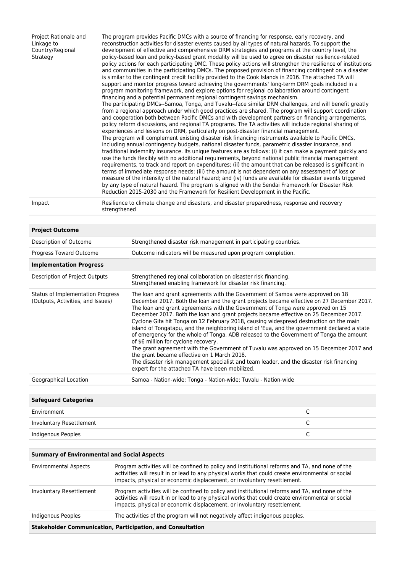Project Rationale and Linkage to Country/Regional **Strategy** 

The program provides Pacific DMCs with a source of financing for response, early recovery, and reconstruction activities for disaster events caused by all types of natural hazards. To support the development of effective and comprehensive DRM strategies and programs at the country level, the policy-based loan and policy-based grant modality will be used to agree on disaster resilience-related policy actions for each participating DMC. These policy actions will strengthen the resilience of institutions and communities in the participating DMCs. The proposed provision of financing contingent on a disaster is similar to the contingent credit facility provided to the Cook Islands in 2016. The attached TA will support and monitor progress toward achieving the governments' long-term DRM goals included in a program monitoring framework, and explore options for regional collaboration around contingent financing and a potential permanent regional contingent savings mechanism. The participating DMCs--Samoa, Tonga, and Tuvalu--face similar DRM challenges, and will benefit greatly from a regional approach under which good practices are shared. The program will support coordination and cooperation both between Pacific DMCs and with development partners on financing arrangements, policy reform discussions, and regional TA programs. The TA activities will include regional sharing of experiences and lessons on DRM, particularly on post-disaster financial management. The program will complement existing disaster risk financing instruments available to Pacific DMCs, including annual contingency budgets, national disaster funds, parametric disaster insurance, and traditional indemnity insurance. Its unique features are as follows: (i) it can make a payment quickly and use the funds flexibly with no additional requirements, beyond national public financial management requirements, to track and report on expenditures; (ii) the amount that can be released is significant in terms of immediate response needs; (iii) the amount is not dependent on any assessment of loss or measure of the intensity of the natural hazard; and (iv) funds are available for disaster events triggered by any type of natural hazard. The program is aligned with the Sendai Framework for Disaster Risk Reduction 2015-2030 and the Framework for Resilient Development in the Pacific.

Impact Resilience to climate change and disasters, and disaster preparedness, response and recovery strengthened

| <b>Project Outcome</b>                                                 |                                                                                                                                                                                                                                                                                                                                                                                                                                                                                                                                                                                                                                                                                                                                                                                                                                                                                                                                                                             |
|------------------------------------------------------------------------|-----------------------------------------------------------------------------------------------------------------------------------------------------------------------------------------------------------------------------------------------------------------------------------------------------------------------------------------------------------------------------------------------------------------------------------------------------------------------------------------------------------------------------------------------------------------------------------------------------------------------------------------------------------------------------------------------------------------------------------------------------------------------------------------------------------------------------------------------------------------------------------------------------------------------------------------------------------------------------|
| Description of Outcome                                                 | Strengthened disaster risk management in participating countries.                                                                                                                                                                                                                                                                                                                                                                                                                                                                                                                                                                                                                                                                                                                                                                                                                                                                                                           |
| Progress Toward Outcome                                                | Outcome indicators will be measured upon program completion.                                                                                                                                                                                                                                                                                                                                                                                                                                                                                                                                                                                                                                                                                                                                                                                                                                                                                                                |
| <b>Implementation Progress</b>                                         |                                                                                                                                                                                                                                                                                                                                                                                                                                                                                                                                                                                                                                                                                                                                                                                                                                                                                                                                                                             |
| Description of Project Outputs                                         | Strengthened regional collaboration on disaster risk financing.<br>Strengthened enabling framework for disaster risk financing.                                                                                                                                                                                                                                                                                                                                                                                                                                                                                                                                                                                                                                                                                                                                                                                                                                             |
| Status of Implementation Progress<br>(Outputs, Activities, and Issues) | The loan and grant agreements with the Government of Samoa were approved on 18<br>December 2017. Both the loan and the grant projects became effective on 27 December 2017.<br>The loan and grant agreements with the Government of Tonga were approved on 15<br>December 2017. Both the loan and grant projects became effective on 25 December 2017.<br>Cyclone Gita hit Tonga on 12 February 2018, causing widespread destruction on the main<br>island of Tongatapu, and the neighboring island of 'Eua, and the government declared a state<br>of emergency for the whole of Tonga. ADB released to the Government of Tonga the amount<br>of \$6 million for cyclone recovery.<br>The grant agreement with the Government of Tuvalu was approved on 15 December 2017 and<br>the grant became effective on 1 March 2018.<br>The disaster risk management specialist and team leader, and the disaster risk financing<br>expert for the attached TA have been mobilized. |
| Geographical Location                                                  | Samoa - Nation-wide; Tonga - Nation-wide; Tuvalu - Nation-wide                                                                                                                                                                                                                                                                                                                                                                                                                                                                                                                                                                                                                                                                                                                                                                                                                                                                                                              |
|                                                                        |                                                                                                                                                                                                                                                                                                                                                                                                                                                                                                                                                                                                                                                                                                                                                                                                                                                                                                                                                                             |

| <b>Safeguard Categories</b> |  |
|-----------------------------|--|
| Environment                 |  |
| Involuntary Resettlement    |  |
| Indigenous Peoples          |  |
|                             |  |

#### **Summary of Environmental and Social Aspects**

|                              | <b>Stakeholder Communication, Participation, and Consultation</b>                                                                                                                                                                                                                |
|------------------------------|----------------------------------------------------------------------------------------------------------------------------------------------------------------------------------------------------------------------------------------------------------------------------------|
| Indigenous Peoples           | The activities of the program will not negatively affect indigenous peoples.                                                                                                                                                                                                     |
| Involuntary Resettlement     | Program activities will be confined to policy and institutional reforms and TA, and none of the<br>activities will result in or lead to any physical works that could create environmental or social<br>impacts, physical or economic displacement, or involuntary resettlement. |
| <b>Environmental Aspects</b> | Program activities will be confined to policy and institutional reforms and TA, and none of the<br>activities will result in or lead to any physical works that could create environmental or social<br>impacts, physical or economic displacement, or involuntary resettlement. |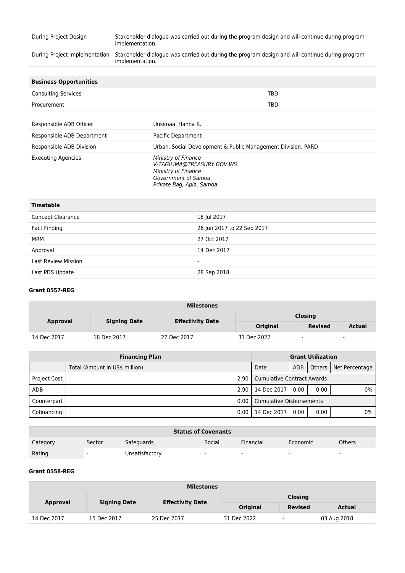| During Project Design         | Stakeholder dialogue was carried out during the program design and will continue during program<br>implementation.          |
|-------------------------------|-----------------------------------------------------------------------------------------------------------------------------|
| During Project Implementation | Stakeholder dialogue was carried out during the program design and will continue during program<br>implementation.          |
| <b>Business Opportunities</b> |                                                                                                                             |
| <b>Consulting Services</b>    | TBD                                                                                                                         |
| Procurement                   | <b>TBD</b>                                                                                                                  |
|                               |                                                                                                                             |
| Responsible ADB Officer       | Uusimaa, Hanna K.                                                                                                           |
| Responsible ADB Department    | Pacific Department                                                                                                          |
| Responsible ADB Division      | Urban, Social Development & Public Management Division, PARD                                                                |
| <b>Executing Agencies</b>     | Ministry of Finance<br>V-TAGILIMA@TREASURY.GOV.WS<br>Ministry of Finance<br>Government of Samoa<br>Private Bag, Apia, Samoa |
| <b>Timetable</b>              |                                                                                                                             |
| $\sim$ $\sim$                 | 10110017                                                                                                                    |

| Concept Clearance          | 18 Jul 2017                |
|----------------------------|----------------------------|
| Fact Finding               | 26 Jun 2017 to 22 Sep 2017 |
| MRM                        | 27 Oct 2017                |
| Approval                   | 14 Dec 2017                |
| <b>Last Review Mission</b> | $\overline{\phantom{a}}$   |
| Last PDS Update            | 28 Sep 2018                |

### **Grant 0557-REG**

| <b>Milestones</b> |                     |                         |                 |                          |                          |  |  |
|-------------------|---------------------|-------------------------|-----------------|--------------------------|--------------------------|--|--|
|                   | <b>Signing Date</b> |                         | <b>Closing</b>  |                          |                          |  |  |
| <b>Approval</b>   |                     | <b>Effectivity Date</b> | <b>Original</b> | <b>Revised</b>           | <b>Actual</b>            |  |  |
| 14 Dec 2017       | 18 Dec 2017         | 27 Dec 2017             | 31 Dec 2022     | $\overline{\phantom{a}}$ | $\overline{\phantom{a}}$ |  |  |

| <b>Financing Plan</b> |                                |                                   | <b>Grant Utilization</b> |      |                         |  |
|-----------------------|--------------------------------|-----------------------------------|--------------------------|------|-------------------------|--|
|                       | Total (Amount in US\$ million) | Date                              | <b>ADB</b>               |      | Others   Net Percentage |  |
| <b>Project Cost</b>   | 2.90                           | <b>Cumulative Contract Awards</b> |                          |      |                         |  |
| ADB                   | 2.90                           | 14 Dec 2017                       | 0.00                     | 0.00 | $0\%$                   |  |
| Counterpart           | 0.00                           | <b>Cumulative Disbursements</b>   |                          |      |                         |  |
| Cofinancing           | 0.00                           | 14 Dec 2017                       | 0.00                     | 0.00 | 0%                      |  |

| <b>Status of Covenants</b> |        |                |                          |                          |                          |                          |  |
|----------------------------|--------|----------------|--------------------------|--------------------------|--------------------------|--------------------------|--|
| Category                   | Sector | Safeguards     | Social                   | Financial                | Economic                 | <b>Others</b>            |  |
| Rating                     |        | Unsatisfactory | $\overline{\phantom{0}}$ | $\overline{\phantom{0}}$ | $\overline{\phantom{0}}$ | $\overline{\phantom{0}}$ |  |

## **Grant 0558-REG**

| <b>Milestones</b> |                     |                         |                 |                          |             |  |  |  |
|-------------------|---------------------|-------------------------|-----------------|--------------------------|-------------|--|--|--|
|                   | <b>Signing Date</b> | <b>Effectivity Date</b> | <b>Closing</b>  |                          |             |  |  |  |
| <b>Approval</b>   |                     |                         | <b>Original</b> | <b>Revised</b>           | Actual      |  |  |  |
| 14 Dec 2017       | 15 Dec 2017         | 25 Dec 2017             | 31 Dec 2022     | $\overline{\phantom{a}}$ | 03 Aug 2018 |  |  |  |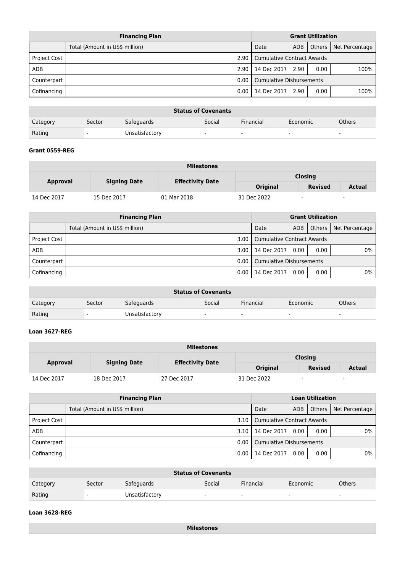| <b>Financing Plan</b> |                                |                                   | <b>Grant Utilization</b>        |          |                |  |
|-----------------------|--------------------------------|-----------------------------------|---------------------------------|----------|----------------|--|
|                       | Total (Amount in US\$ million) | Date                              | ADB                             | Others I | Net Percentage |  |
| <b>Project Cost</b>   | 2.90                           | <b>Cumulative Contract Awards</b> |                                 |          |                |  |
| <b>ADB</b>            | 2.90                           | 14 Dec 2017                       | 2.90                            | 0.00     | 100%           |  |
| Counterpart           | 0.00                           |                                   | <b>Cumulative Disbursements</b> |          |                |  |
| Cofinancing           | 0.00                           | 14 Dec 2017                       | 2.90                            | 0.00     | 100%           |  |

| <b>Status of Covenants</b> |                          |                |                          |                          |                          |               |  |
|----------------------------|--------------------------|----------------|--------------------------|--------------------------|--------------------------|---------------|--|
| Category                   | Sector                   | Safeguards     | Social                   | Financial                | Economic                 | <b>Others</b> |  |
| Rating                     | $\overline{\phantom{0}}$ | Unsatisfactory | $\overline{\phantom{a}}$ | $\overline{\phantom{a}}$ | $\overline{\phantom{0}}$ |               |  |

### **Grant 0559-REG**

| <b>Milestones</b> |                     |                         |                 |                |               |  |  |  |  |
|-------------------|---------------------|-------------------------|-----------------|----------------|---------------|--|--|--|--|
| <b>Approval</b>   | <b>Signing Date</b> | <b>Effectivity Date</b> |                 | <b>Closing</b> |               |  |  |  |  |
|                   |                     |                         | <b>Original</b> | Revised        | <b>Actual</b> |  |  |  |  |
| 14 Dec 2017       | 15 Dec 2017         | 01 Mar 2018             | 31 Dec 2022     |                | $\sim$        |  |  |  |  |

|                     | <b>Financing Plan</b>          | <b>Grant Utilization</b>        |                                   |      |                         |
|---------------------|--------------------------------|---------------------------------|-----------------------------------|------|-------------------------|
|                     | Total (Amount in US\$ million) | Date                            | ADB                               |      | Others   Net Percentage |
| <b>Project Cost</b> | 3.00 <sub>1</sub>              |                                 | <b>Cumulative Contract Awards</b> |      |                         |
| ADB                 |                                | 3.00   14 Dec 2017              | 0.00                              | 0.00 | $0\%$                   |
| Counterpart         | 0.00                           | <b>Cumulative Disbursements</b> |                                   |      |                         |
| Cofinancing         | 0.00                           | 14 Dec 2017                     | 0.00                              | 0.00 | $0\%$                   |

|          |                          |                | <b>Status of Covenants</b> |           |                          |               |
|----------|--------------------------|----------------|----------------------------|-----------|--------------------------|---------------|
| Category | Sector                   | Safeguards     | Social                     | Financial | Economic                 | <b>Others</b> |
| Rating   | $\overline{\phantom{a}}$ | Unsatisfactory | $\overline{\phantom{a}}$   | $\sim$    | $\overline{\phantom{a}}$ |               |

# **Loan 3627-REG**

| <b>Milestones</b>                      |                         |                |                 |                          |               |  |  |  |  |
|----------------------------------------|-------------------------|----------------|-----------------|--------------------------|---------------|--|--|--|--|
| <b>Signing Date</b><br><b>Approval</b> | <b>Effectivity Date</b> | <b>Closing</b> |                 |                          |               |  |  |  |  |
|                                        |                         |                | <b>Original</b> | <b>Revised</b>           | <b>Actual</b> |  |  |  |  |
| 14 Dec 2017                            | 18 Dec 2017             | 27 Dec 2017    | 31 Dec 2022     | $\overline{\phantom{a}}$ | $\sim$        |  |  |  |  |

|                     | <b>Financing Plan</b>          | <b>Loan Utilization</b>         |                                   |  |                         |  |
|---------------------|--------------------------------|---------------------------------|-----------------------------------|--|-------------------------|--|
|                     | Total (Amount in US\$ million) | Date                            | ADB                               |  | Others   Net Percentage |  |
| <b>Project Cost</b> |                                |                                 | 3.10   Cumulative Contract Awards |  |                         |  |
| ADB                 | 3.10                           | 14 Dec 2017                     | 0%<br>0.00<br>0.00                |  |                         |  |
| Counterpart         |                                | 0.00   Cumulative Disbursements |                                   |  |                         |  |
| Cofinancing         | 0.00                           | 14 Dec 2017                     | 0.00<br>0.00                      |  |                         |  |

|          |                          |                | <b>Status of Covenants</b> |           |                          |               |
|----------|--------------------------|----------------|----------------------------|-----------|--------------------------|---------------|
| Category | Sector                   | Safeguards     | Social                     | Financial | Economic                 | <b>Others</b> |
| Rating   | $\overline{\phantom{0}}$ | Unsatisfactory | -                          | -         | $\overline{\phantom{0}}$ |               |

# **Loan 3628-REG**